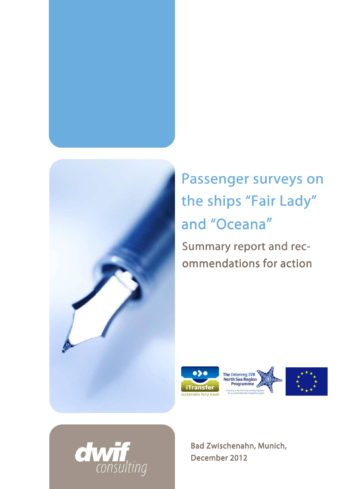



Passenger surveys on the ships "Fair Lady" and "Oceana" Summary report and recommendations for action





Bad Zwischenahn, Munich, December 2012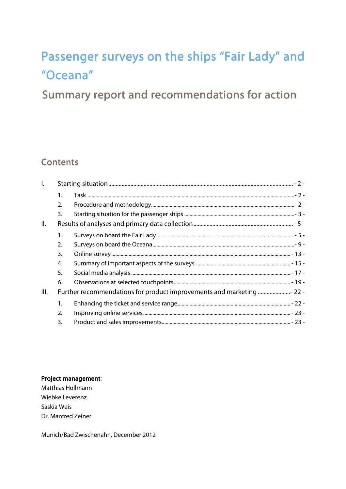# Passenger surveys on the ships "Fair Lady" and "Oceana"

# Summary report and recommendations for action

# **Contents**

| $\mathsf{L}$ |                  |  |  |
|--------------|------------------|--|--|
|              | $\mathbf{1}$ .   |  |  |
|              | $\overline{2}$ . |  |  |
|              | 3.               |  |  |
| Ш.           |                  |  |  |
|              | 1.               |  |  |
|              | 2.               |  |  |
|              | 3.               |  |  |
|              | 4.               |  |  |
|              | 5.               |  |  |
|              | 6.               |  |  |
| III.         |                  |  |  |
|              | 1.               |  |  |
|              | 2.               |  |  |
|              | 3.               |  |  |

Project management:

Matthias Hollmann Wiebke Leverenz Saskia Weis Dr. Manfred Zeiner

Munich/Bad Zwischenahn, December 2012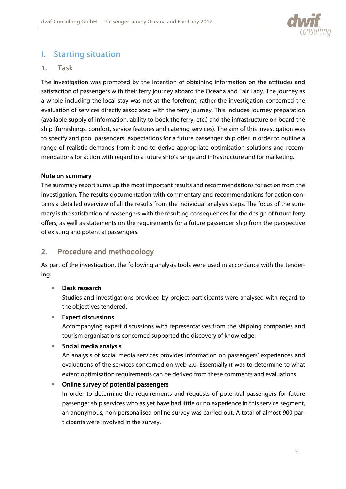

# I. Starting situation

# 1. Task

The investigation was prompted by the intention of obtaining information on the attitudes and satisfaction of passengers with their ferry journey aboard the Oceana and Fair Lady. The journey as a whole including the local stay was not at the forefront, rather the investigation concerned the evaluation of services directly associated with the ferry journey. This includes journey preparation (available supply of information, ability to book the ferry, etc.) and the infrastructure on board the ship (furnishings, comfort, service features and catering services). The aim of this investigation was to specify and pool passengers' expectations for a future passenger ship offer in order to outline a range of realistic demands from it and to derive appropriate optimisation solutions and recommendations for action with regard to a future ship's range and infrastructure and for marketing.

#### Note on summary

The summary report sums up the most important results and recommendations for action from the investigation. The results documentation with commentary and recommendations for action contains a detailed overview of all the results from the individual analysis steps. The focus of the summary is the satisfaction of passengers with the resulting consequences for the design of future ferry offers, as well as statements on the requirements for a future passenger ship from the perspective of existing and potential passengers.

# 2. Procedure and methodology

As part of the investigation, the following analysis tools were used in accordance with the tendering:

#### • Desk research

Studies and investigations provided by project participants were analysed with regard to the objectives tendered.

#### $\bullet$  Expert discussions

Accompanying expert discussions with representatives from the shipping companies and tourism organisations concerned supported the discovery of knowledge.

#### • Social media analysis

An analysis of social media services provides information on passengers' experiences and evaluations of the services concerned on web 2.0. Essentially it was to determine to what extent optimisation requirements can be derived from these comments and evaluations.

#### Online survey of potential passengers

In order to determine the requirements and requests of potential passengers for future passenger ship services who as yet have had little or no experience in this service segment, an anonymous, non-personalised online survey was carried out. A total of almost 900 participants were involved in the survey.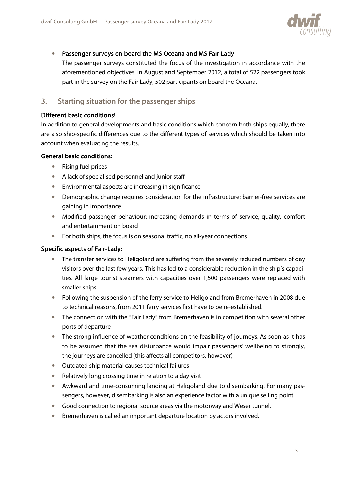

#### • Passenger surveys on board the MS Oceana and MS Fair Lady

The passenger surveys constituted the focus of the investigation in accordance with the aforementioned objectives. In August and September 2012, a total of 522 passengers took part in the survey on the Fair Lady, 502 participants on board the Oceana.

# 3. Starting situation for the passenger ships

#### Different basic conditions!

In addition to general developments and basic conditions which concern both ships equally, there are also ship-specific differences due to the different types of services which should be taken into account when evaluating the results.

#### General basic conditions:

- Rising fuel prices
- A lack of specialised personnel and junior staff
- Environmental aspects are increasing in significance
- Demographic change requires consideration for the infrastructure: barrier-free services are gaining in importance
- Modified passenger behaviour: increasing demands in terms of service, quality, comfort and entertainment on board
- For both ships, the focus is on seasonal traffic, no all-year connections

#### Specific aspects of Fair-Lady:

- The transfer services to Heligoland are suffering from the severely reduced numbers of day visitors over the last few years. This has led to a considerable reduction in the ship's capacities. All large tourist steamers with capacities over 1,500 passengers were replaced with smaller ships
- Following the suspension of the ferry service to Heligoland from Bremerhaven in 2008 due to technical reasons, from 2011 ferry services first have to be re-established.
- The connection with the "Fair Lady" from Bremerhaven is in competition with several other ports of departure
- The strong influence of weather conditions on the feasibility of journeys. As soon as it has to be assumed that the sea disturbance would impair passengers' wellbeing to strongly, the journeys are cancelled (this affects all competitors, however)
- Outdated ship material causes technical failures
- Relatively long crossing time in relation to a day visit
- Awkward and time-consuming landing at Heligoland due to disembarking. For many passengers, however, disembarking is also an experience factor with a unique selling point
- Good connection to regional source areas via the motorway and Weser tunnel,
- Bremerhaven is called an important departure location by actors involved.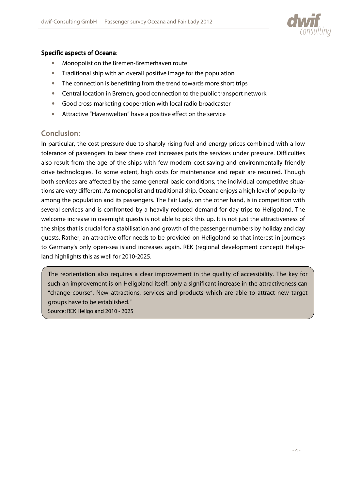

## Specific aspects of Oceana:

- Monopolist on the Bremen-Bremerhaven route
- Traditional ship with an overall positive image for the population
- The connection is benefitting from the trend towards more short trips
- Central location in Bremen, good connection to the public transport network
- Good cross-marketing cooperation with local radio broadcaster
- Attractive "Havenwelten" have a positive effect on the service

# Conclusion:

In particular, the cost pressure due to sharply rising fuel and energy prices combined with a low tolerance of passengers to bear these cost increases puts the services under pressure. Difficulties also result from the age of the ships with few modern cost-saving and environmentally friendly drive technologies. To some extent, high costs for maintenance and repair are required. Though both services are affected by the same general basic conditions, the individual competitive situations are very different. As monopolist and traditional ship, Oceana enjoys a high level of popularity among the population and its passengers. The Fair Lady, on the other hand, is in competition with several services and is confronted by a heavily reduced demand for day trips to Heligoland. The welcome increase in overnight guests is not able to pick this up. It is not just the attractiveness of the ships that is crucial for a stabilisation and growth of the passenger numbers by holiday and day guests. Rather, an attractive offer needs to be provided on Heligoland so that interest in journeys to Germany's only open-sea island increases again. REK (regional development concept) Heligoland highlights this as well for 2010-2025.

The reorientation also requires a clear improvement in the quality of accessibility. The key for such an improvement is on Heligoland itself: only a significant increase in the attractiveness can "change course". New attractions, services and products which are able to attract new target groups have to be established."

Source: REK Heligoland 2010 - 2025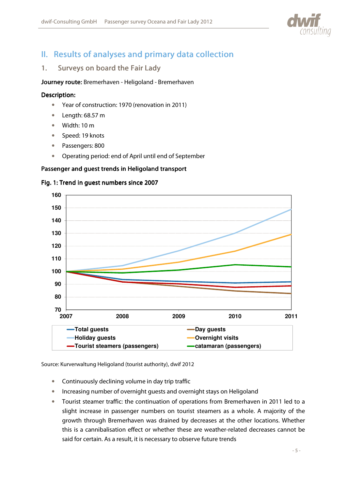

# II. Results of analyses and primary data collection

# 1. Surveys on board the Fair Lady

Journey route: Bremerhaven - Heligoland - Bremerhaven

#### Description:

- Year of construction: 1970 (renovation in 2011)
- Length: 68.57 m
- Width: 10 m
- Speed: 19 knots
- Passengers: 800
- Operating period: end of April until end of September

#### Passenger and guest trends in Heligoland transport

#### Fig. 1: Trend in guest numbers since 2007



Source: Kurverwaltung Heligoland (tourist authority), dwif 2012

- Continuously declining volume in day trip traffic
- Increasing number of overnight guests and overnight stays on Heligoland
- Tourist steamer traffic: the continuation of operations from Bremerhaven in 2011 led to a slight increase in passenger numbers on tourist steamers as a whole. A majority of the growth through Bremerhaven was drained by decreases at the other locations. Whether this is a cannibalisation effect or whether these are weather-related decreases cannot be said for certain. As a result, it is necessary to observe future trends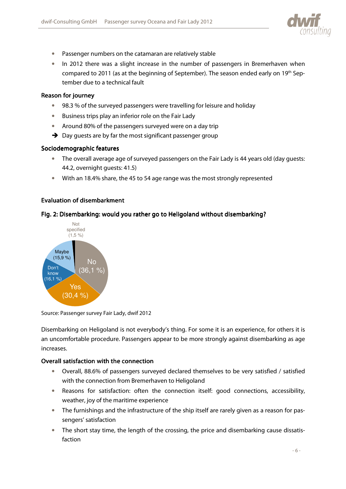

- Passenger numbers on the catamaran are relatively stable
- In 2012 there was a slight increase in the number of passengers in Bremerhaven when compared to 2011 (as at the beginning of September). The season ended early on 19<sup>th</sup> September due to a technical fault

#### Reason for journey

- 98.3 % of the surveyed passengers were travelling for leisure and holiday
- Business trips play an inferior role on the Fair Lady
- Around 80% of the passengers surveyed were on a day trip
- $\rightarrow$  Day guests are by far the most significant passenger group

#### Sociodemographic features

- The overall average age of surveyed passengers on the Fair Lady is 44 years old (day guests: 44.2, overnight guests: 41.5)
- With an 18.4% share, the 45 to 54 age range was the most strongly represented

#### Evaluation of disembarkment

#### Fig. 2: Disembarking: would you rather go to Heligoland without disembarking?



Source: Passenger survey Fair Lady, dwif 2012

Disembarking on Heligoland is not everybody's thing. For some it is an experience, for others it is an uncomfortable procedure. Passengers appear to be more strongly against disembarking as age increases.

#### Overall satisfaction with the connection

- Overall, 88.6% of passengers surveyed declared themselves to be very satisfied / satisfied with the connection from Bremerhaven to Heligoland
- Reasons for satisfaction: often the connection itself: good connections, accessibility, weather, joy of the maritime experience
- The furnishings and the infrastructure of the ship itself are rarely given as a reason for passengers' satisfaction
- The short stay time, the length of the crossing, the price and disembarking cause dissatisfaction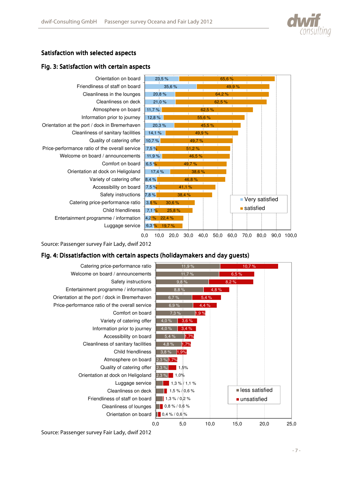



# Satisfaction with selected aspects

#### Fig. 3: Satisfaction with certain aspects



Source: Passenger survey Fair Lady, dwif 2012

#### Fig. 4: Dissatisfaction with certain aspects (holiday makers and day guests)

![](_page_7_Figure_7.jpeg)

Source: Passenger survey Fair Lady, dwif 2012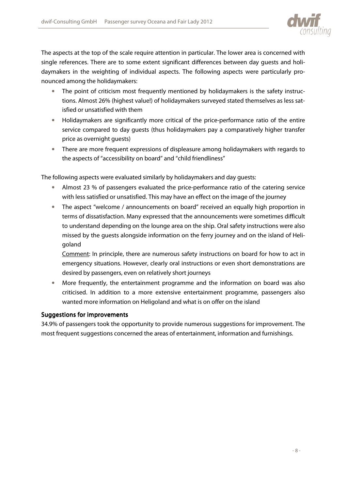![](_page_8_Picture_1.jpeg)

The aspects at the top of the scale require attention in particular. The lower area is concerned with single references. There are to some extent significant differences between day guests and holidaymakers in the weighting of individual aspects. The following aspects were particularly pronounced among the holidaymakers:

- The point of criticism most frequently mentioned by holidaymakers is the safety instructions. Almost 26% (highest value!) of holidaymakers surveyed stated themselves as less satisfied or unsatisfied with them
- Holidaymakers are significantly more critical of the price-performance ratio of the entire service compared to day guests (thus holidaymakers pay a comparatively higher transfer price as overnight guests)
- There are more frequent expressions of displeasure among holidaymakers with regards to the aspects of "accessibility on board" and "child friendliness"

The following aspects were evaluated similarly by holidaymakers and day guests:

- Almost 23 % of passengers evaluated the price-performance ratio of the catering service with less satisfied or unsatisfied. This may have an effect on the image of the journey
- The aspect "welcome / announcements on board" received an equally high proportion in terms of dissatisfaction. Many expressed that the announcements were sometimes difficult to understand depending on the lounge area on the ship. Oral safety instructions were also missed by the guests alongside information on the ferry journey and on the island of Heligoland

Comment: In principle, there are numerous safety instructions on board for how to act in emergency situations. However, clearly oral instructions or even short demonstrations are desired by passengers, even on relatively short journeys

• More frequently, the entertainment programme and the information on board was also criticised. In addition to a more extensive entertainment programme, passengers also wanted more information on Heligoland and what is on offer on the island

#### Suggestions for improvements

34.9% of passengers took the opportunity to provide numerous suggestions for improvement. The most frequent suggestions concerned the areas of entertainment, information and furnishings.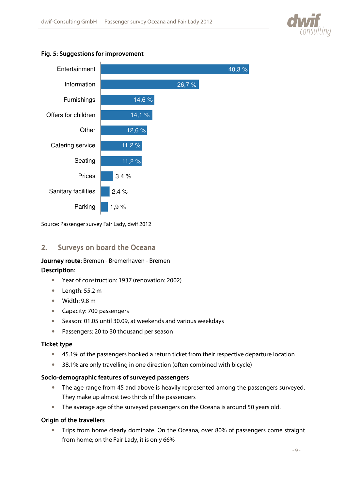![](_page_9_Picture_1.jpeg)

#### Fig. 5: Suggestions for improvement

![](_page_9_Figure_3.jpeg)

Source: Passenger survey Fair Lady, dwif 2012

# 2. Surveys on board the Oceana

# Journey route: Bremen - Bremerhaven - Bremen

#### Description:

- Year of construction: 1937 (renovation: 2002)
- Length: 55.2 m
- Width: 9.8 m
- Capacity: 700 passengers
- Season: 01.05 until 30.09, at weekends and various weekdays
- Passengers: 20 to 30 thousand per season

#### **Ticket type**

- 45.1% of the passengers booked a return ticket from their respective departure location
- 38.1% are only travelling in one direction (often combined with bicycle)

#### Socio-demographic features of surveyed passengers

- The age range from 45 and above is heavily represented among the passengers surveyed. They make up almost two thirds of the passengers
- The average age of the surveyed passengers on the Oceana is around 50 years old.

#### Origin of the travellers

• Trips from home clearly dominate. On the Oceana, over 80% of passengers come straight from home; on the Fair Lady, it is only 66%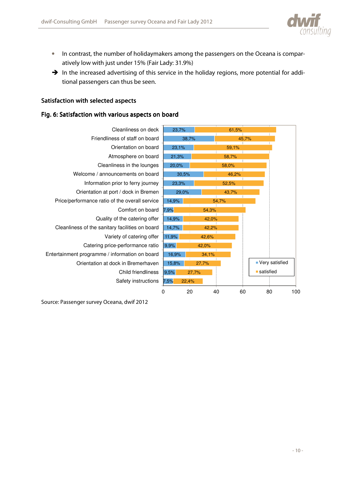![](_page_10_Picture_1.jpeg)

- In contrast, the number of holidaymakers among the passengers on the Oceana is comparatively low with just under 15% (Fair Lady: 31.9%)
- $\rightarrow$  In the increased advertising of this service in the holiday regions, more potential for additional passengers can thus be seen.

#### Satisfaction with selected aspects

#### Fig. 6: Satisfaction with various aspects on board

![](_page_10_Figure_6.jpeg)

Source: Passenger survey Oceana, dwif 2012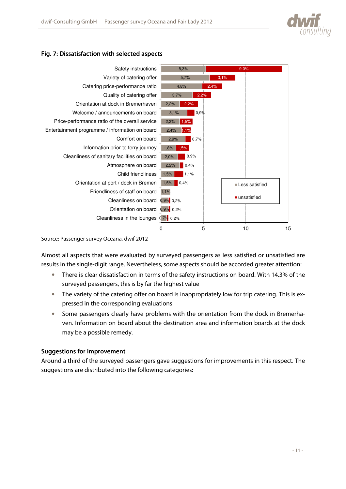![](_page_11_Picture_0.jpeg)

# Fig. 7: Dissatisfaction with selected aspects

![](_page_11_Figure_3.jpeg)

Source: Passenger survey Oceana, dwif 2012

Almost all aspects that were evaluated by surveyed passengers as less satisfied or unsatisfied are results in the single-digit range. Nevertheless, some aspects should be accorded greater attention:

- There is clear dissatisfaction in terms of the safety instructions on board. With 14.3% of the surveyed passengers, this is by far the highest value
- The variety of the catering offer on board is inappropriately low for trip catering. This is expressed in the corresponding evaluations
- Some passengers clearly have problems with the orientation from the dock in Bremerhaven. Information on board about the destination area and information boards at the dock may be a possible remedy.

#### Suggestions for improvement

Around a third of the surveyed passengers gave suggestions for improvements in this respect. The suggestions are distributed into the following categories: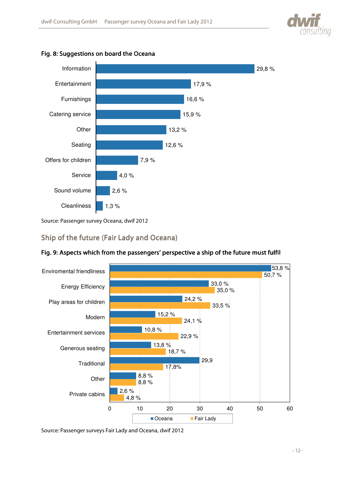![](_page_12_Picture_0.jpeg)

![](_page_12_Figure_2.jpeg)

![](_page_12_Figure_3.jpeg)

Source: Passenger survey Oceana, dwif 2012

# Ship of the future (Fair Lady and Oceana)

![](_page_12_Figure_6.jpeg)

# Fig. 9: Aspects which from the passengers' perspective a ship of the future must fulfil

Source: Passenger surveys Fair Lady and Oceana, dwif 2012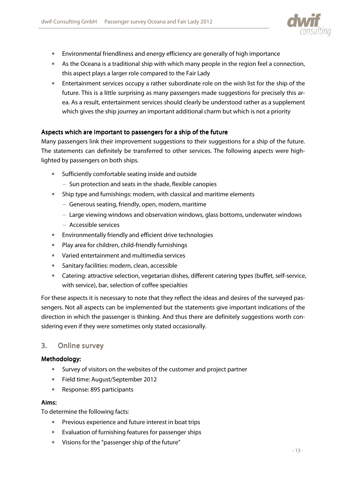![](_page_13_Picture_1.jpeg)

- Environmental friendliness and energy efficiency are generally of high importance
- As the Oceana is a traditional ship with which many people in the region feel a connection, this aspect plays a larger role compared to the Fair Lady
- Entertainment services occupy a rather subordinate role on the wish list for the ship of the future. This is a little surprising as many passengers made suggestions for precisely this area. As a result, entertainment services should clearly be understood rather as a supplement which gives the ship journey an important additional charm but which is not a priority

#### Aspects which are important to passengers for a ship of the future

Many passengers link their improvement suggestions to their suggestions for a ship of the future. The statements can definitely be transferred to other services. The following aspects were highlighted by passengers on both ships.

- Sufficiently comfortable seating inside and outside
	- − Sun protection and seats in the shade, flexible canopies
- Ship type and furnishings: modern, with classical and maritime elements
	- − Generous seating, friendly, open, modern, maritime
	- − Large viewing windows and observation windows, glass bottoms, underwater windows
	- − Accessible services
- Environmentally friendly and efficient drive technologies
- Play area for children, child-friendly furnishings
- Varied entertainment and multimedia services
- Sanitary facilities: modern, clean, accessible
- Catering: attractive selection, vegetarian dishes, different catering types (buffet, self-service, with service), bar, selection of coffee specialties

For these aspects it is necessary to note that they reflect the ideas and desires of the surveyed passengers. Not all aspects can be implemented but the statements give important indications of the direction in which the passenger is thinking. And thus there are definitely suggestions worth considering even if they were sometimes only stated occasionally.

#### 3. Online survey

#### Methodology: Methodology:

- Survey of visitors on the websites of the customer and project partner
- Field time: August/September 2012
- Response: 895 participants

#### Aims:

To determine the following facts:

- Previous experience and future interest in boat trips
- Evaluation of furnishing features for passenger ships
- Visions for the "passenger ship of the future"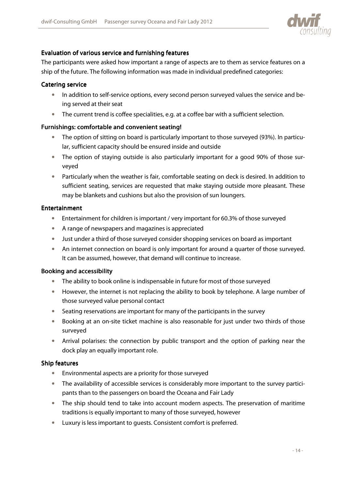![](_page_14_Picture_1.jpeg)

### Evaluation of various service and furnishing features

The participants were asked how important a range of aspects are to them as service features on a ship of the future. The following information was made in individual predefined categories:

#### Catering service

- In addition to self-service options, every second person surveyed values the service and being served at their seat
- The current trend is coffee specialities, e.g. at a coffee bar with a sufficient selection.

#### Furnishings: comfortable and convenient seating!

- The option of sitting on board is particularly important to those surveyed (93%). In particular, sufficient capacity should be ensured inside and outside
- The option of staying outside is also particularly important for a good 90% of those surveyed
- Particularly when the weather is fair, comfortable seating on deck is desired. In addition to sufficient seating, services are requested that make staying outside more pleasant. These may be blankets and cushions but also the provision of sun loungers.

#### **Entertainment**

- Entertainment for children is important / very important for 60.3% of those surveyed
- A range of newspapers and magazines is appreciated
- Just under a third of those surveyed consider shopping services on board as important
- An internet connection on board is only important for around a quarter of those surveyed. It can be assumed, however, that demand will continue to increase.

#### Booking and accessibility

- The ability to book online is indispensable in future for most of those surveyed
- However, the internet is not replacing the ability to book by telephone. A large number of those surveyed value personal contact
- Seating reservations are important for many of the participants in the survey
- Booking at an on-site ticket machine is also reasonable for just under two thirds of those surveyed
- Arrival polarises: the connection by public transport and the option of parking near the dock play an equally important role.

#### Ship features

- Environmental aspects are a priority for those surveyed
- The availability of accessible services is considerably more important to the survey participants than to the passengers on board the Oceana and Fair Lady
- The ship should tend to take into account modern aspects. The preservation of maritime traditions is equally important to many of those surveyed, however
- Luxury is less important to guests. Consistent comfort is preferred.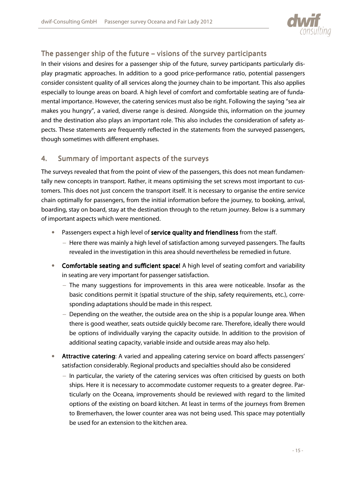![](_page_15_Picture_1.jpeg)

# The passenger ship of the future – visions of the survey participants

In their visions and desires for a passenger ship of the future, survey participants particularly display pragmatic approaches. In addition to a good price-performance ratio, potential passengers consider consistent quality of all services along the journey chain to be important. This also applies especially to lounge areas on board. A high level of comfort and comfortable seating are of fundamental importance. However, the catering services must also be right. Following the saying "sea air makes you hungry", a varied, diverse range is desired. Alongside this, information on the journey and the destination also plays an important role. This also includes the consideration of safety aspects. These statements are frequently reflected in the statements from the surveyed passengers, though sometimes with different emphases.

# 4. Summary of important aspects of the surveys

The surveys revealed that from the point of view of the passengers, this does not mean fundamentally new concepts in transport. Rather, it means optimising the set screws most important to customers. This does not just concern the transport itself. It is necessary to organise the entire service chain optimally for passengers, from the initial information before the journey, to booking, arrival, boarding, stay on board, stay at the destination through to the return journey. Below is a summary of important aspects which were mentioned.

- Passengers expect a high level of service quality and friendliness from the staff.
	- − Here there was mainly a high level of satisfaction among surveyed passengers. The faults revealed in the investigation in this area should nevertheless be remedied in future.
- Comfortable seating and sufficient space! A high level of seating comfort and variability in seating are very important for passenger satisfaction.
	- − The many suggestions for improvements in this area were noticeable. Insofar as the basic conditions permit it (spatial structure of the ship, safety requirements, etc.), corresponding adaptations should be made in this respect.
	- − Depending on the weather, the outside area on the ship is a popular lounge area. When there is good weather, seats outside quickly become rare. Therefore, ideally there would be options of individually varying the capacity outside. In addition to the provision of additional seating capacity, variable inside and outside areas may also help.
- Attractive catering: A varied and appealing catering service on board affects passengers' satisfaction considerably. Regional products and specialties should also be considered
	- − In particular, the variety of the catering services was often criticised by guests on both ships. Here it is necessary to accommodate customer requests to a greater degree. Particularly on the Oceana, improvements should be reviewed with regard to the limited options of the existing on board kitchen. At least in terms of the journeys from Bremen to Bremerhaven, the lower counter area was not being used. This space may potentially be used for an extension to the kitchen area.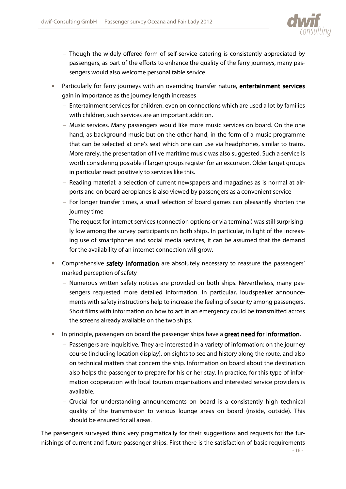![](_page_16_Picture_1.jpeg)

- − Though the widely offered form of self-service catering is consistently appreciated by passengers, as part of the efforts to enhance the quality of the ferry journeys, many passengers would also welcome personal table service.
- Particularly for ferry journeys with an overriding transfer nature, entertainment services gain in importance as the journey length increases
	- − Entertainment services for children: even on connections which are used a lot by families with children, such services are an important addition.
	- − Music services. Many passengers would like more music services on board. On the one hand, as background music but on the other hand, in the form of a music programme that can be selected at one's seat which one can use via headphones, similar to trains. More rarely, the presentation of live maritime music was also suggested. Such a service is worth considering possible if larger groups register for an excursion. Older target groups in particular react positively to services like this.
	- − Reading material: a selection of current newspapers and magazines as is normal at airports and on board aeroplanes is also viewed by passengers as a convenient service
	- − For longer transfer times, a small selection of board games can pleasantly shorten the journey time
	- − The request for internet services (connection options or via terminal) was still surprisingly low among the survey participants on both ships. In particular, in light of the increasing use of smartphones and social media services, it can be assumed that the demand for the availability of an internet connection will grow.
- Comprehensive safety information are absolutely necessary to reassure the passengers' marked perception of safety
	- − Numerous written safety notices are provided on both ships. Nevertheless, many passengers requested more detailed information. In particular, loudspeaker announcements with safety instructions help to increase the feeling of security among passengers. Short films with information on how to act in an emergency could be transmitted across the screens already available on the two ships.
- In principle, passengers on board the passenger ships have a great need for information.
	- − Passengers are inquisitive. They are interested in a variety of information: on the journey course (including location display), on sights to see and history along the route, and also on technical matters that concern the ship. Information on board about the destination also helps the passenger to prepare for his or her stay. In practice, for this type of information cooperation with local tourism organisations and interested service providers is available.
	- − Crucial for understanding announcements on board is a consistently high technical quality of the transmission to various lounge areas on board (inside, outside). This should be ensured for all areas.

The passengers surveyed think very pragmatically for their suggestions and requests for the furnishings of current and future passenger ships. First there is the satisfaction of basic requirements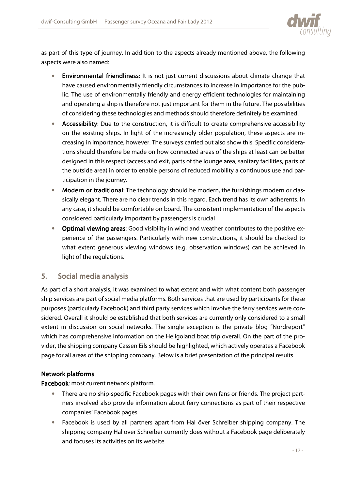![](_page_17_Picture_1.jpeg)

as part of this type of journey. In addition to the aspects already mentioned above, the following aspects were also named:

- Environmental friendliness: It is not just current discussions about climate change that have caused environmentally friendly circumstances to increase in importance for the public. The use of environmentally friendly and energy efficient technologies for maintaining and operating a ship is therefore not just important for them in the future. The possibilities of considering these technologies and methods should therefore definitely be examined.
- Accessibility: Due to the construction, it is difficult to create comprehensive accessibility on the existing ships. In light of the increasingly older population, these aspects are increasing in importance, however. The surveys carried out also show this. Specific considerations should therefore be made on how connected areas of the ships at least can be better designed in this respect (access and exit, parts of the lounge area, sanitary facilities, parts of the outside area) in order to enable persons of reduced mobility a continuous use and participation in the journey.
- Modern or traditional: The technology should be modern, the furnishings modern or classically elegant. There are no clear trends in this regard. Each trend has its own adherents. In any case, it should be comfortable on board. The consistent implementation of the aspects considered particularly important by passengers is crucial
- Optimal viewing areas: Good visibility in wind and weather contributes to the positive experience of the passengers. Particularly with new constructions, it should be checked to what extent generous viewing windows (e.g. observation windows) can be achieved in light of the regulations.

# 5. Social media analysis

As part of a short analysis, it was examined to what extent and with what content both passenger ship services are part of social media platforms. Both services that are used by participants for these purposes (particularly Facebook) and third party services which involve the ferry services were considered. Overall it should be established that both services are currently only considered to a small extent in discussion on social networks. The single exception is the private blog "Nordreport" which has comprehensive information on the Heligoland boat trip overall. On the part of the provider, the shipping company Cassen Eils should be highlighted, which actively operates a Facebook page for all areas of the shipping company. Below is a brief presentation of the principal results.

# Network platforms

Facebook: most current network platform.

- There are no ship-specific Facebook pages with their own fans or friends. The project partners involved also provide information about ferry connections as part of their respective companies' Facebook pages
- Facebook is used by all partners apart from Hal över Schreiber shipping company. The shipping company Hal över Schreiber currently does without a Facebook page deliberately and focuses its activities on its website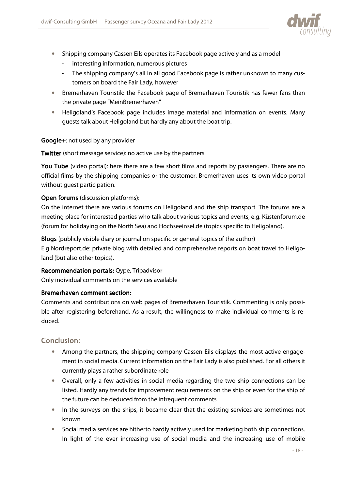![](_page_18_Picture_1.jpeg)

- Shipping company Cassen Eils operates its Facebook page actively and as a model
	- interesting information, numerous pictures
	- The shipping company's all in all good Facebook page is rather unknown to many customers on board the Fair Lady, however
- Bremerhaven Touristik: the Facebook page of Bremerhaven Touristik has fewer fans than the private page "MeinBremerhaven"
- Heligoland's Facebook page includes image material and information on events. Many guests talk about Heligoland but hardly any about the boat trip.

#### Google+: not used by any provider

Twitter (short message service): no active use by the partners

You Tube (video portal): here there are a few short films and reports by passengers. There are no official films by the shipping companies or the customer. Bremerhaven uses its own video portal without guest participation.

## Open forums (discussion platforms):

On the internet there are various forums on Heligoland and the ship transport. The forums are a meeting place for interested parties who talk about various topics and events, e.g. Küstenforum.de (forum for holidaying on the North Sea) and Hochseeinsel.de (topics specific to Heligoland).

Blogs (publicly visible diary or journal on specific or general topics of the author) E.g Nordreport.de: private blog with detailed and comprehensive reports on boat travel to Heligoland (but also other topics).

#### Recommendation portals: Qype, Tripadvisor

Only individual comments on the services available

#### Bremerhaven comment section:

Comments and contributions on web pages of Bremerhaven Touristik. Commenting is only possible after registering beforehand. As a result, the willingness to make individual comments is reduced.

#### Conclusion:

- Among the partners, the shipping company Cassen Eils displays the most active engagement in social media. Current information on the Fair Lady is also published. For all others it currently plays a rather subordinate role
- Overall, only a few activities in social media regarding the two ship connections can be listed. Hardly any trends for improvement requirements on the ship or even for the ship of the future can be deduced from the infrequent comments
- In the surveys on the ships, it became clear that the existing services are sometimes not known
- Social media services are hitherto hardly actively used for marketing both ship connections. In light of the ever increasing use of social media and the increasing use of mobile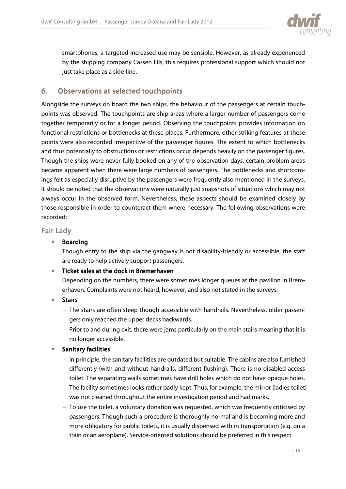![](_page_19_Picture_1.jpeg)

smartphones, a targeted increased use may be sensible. However, as already experienced by the shipping company Cassen Eils, this requires professional support which should not just take place as a side-line.

# 6. Observations at selected touchpoints

Alongside the surveys on board the two ships, the behaviour of the passengers at certain touchpoints was observed. The touchpoints are ship areas where a larger number of passengers come together temporarily or for a longer period. Observing the touchpoints provides information on functional restrictions or bottlenecks at these places. Furthermore, other striking features at these points were also recorded irrespective of the passenger figures. The extent to which bottlenecks and thus potentially to obstructions or restrictions occur depends heavily on the passenger figures. Though the ships were never fully booked on any of the observation days, certain problem areas became apparent when there were large numbers of passengers. The bottlenecks and shortcomings felt as especially disruptive by the passengers were frequently also mentioned in the surveys. It should be noted that the observations were naturally just snapshots of situations which may not always occur in the observed form. Nevertheless, these aspects should be examined closely by those responsible in order to counteract them where necessary. The following observations were recorded:

## **Fair Lady**

### • Boarding

Though entry to the ship via the gangway is not disability-friendly or accessible, the staff are ready to help actively support passengers.

#### $\bullet$  Ticket sales at the dock in Bremerhaven

Depending on the numbers, there were sometimes longer queues at the pavilion in Bremerhaven. Complaints were not heard, however, and also not stated in the surveys.

- Stairs
	- − The stairs are often steep though accessible with handrails. Nevertheless, older passengers only reached the upper decks backwards.
	- − Prior to and during exit, there were jams particularly on the main stairs meaning that it is no longer accessible.

#### • Sanitary facilities

- − In principle, the sanitary facilities are outdated but suitable. The cabins are also furnished differently (with and without handrails, different flushing). There is no disabled-access toilet. The separating walls sometimes have drill holes which do not have opaque holes. The facility sometimes looks rather badly kept. Thus, for example, the mirror (ladies toilet) was not cleaned throughout the entire investigation period and had marks.
- − To use the toilet, a voluntary donation was requested, which was frequently criticised by passengers. Though such a procedure is thoroughly normal and is becoming more and more obligatory for public toilets, it is usually dispensed with in transportation (e.g. on a train or an aeroplane). Service-oriented solutions should be preferred in this respect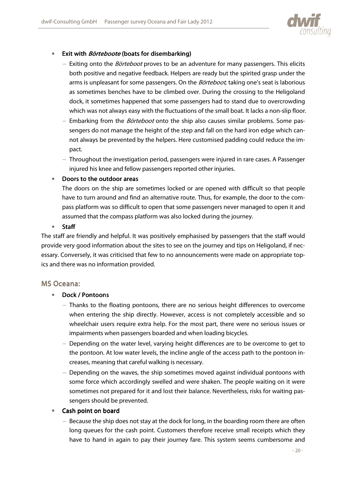![](_page_20_Picture_1.jpeg)

#### • Exit with Börteboote (boats for disembarking)

- − Exiting onto the *Börteboot* proves to be an adventure for many passengers. This elicits both positive and negative feedback. Helpers are ready but the spirited grasp under the arms is unpleasant for some passengers. On the *Börteboot*, taking one's seat is laborious as sometimes benches have to be climbed over. During the crossing to the Heligoland dock, it sometimes happened that some passengers had to stand due to overcrowding which was not always easy with the fluctuations of the small boat. It lacks a non-slip floor.
- − Embarking from the *Börteboot* onto the ship also causes similar problems. Some passengers do not manage the height of the step and fall on the hard iron edge which cannot always be prevented by the helpers. Here customised padding could reduce the impact.
- − Throughout the investigation period, passengers were injured in rare cases. A Passenger injured his knee and fellow passengers reported other injuries.

#### • Doors to the outdoor areas

The doors on the ship are sometimes locked or are opened with difficult so that people have to turn around and find an alternative route. Thus, for example, the door to the compass platform was so difficult to open that some passengers never managed to open it and assumed that the compass platform was also locked during the journey.

#### • Staff

The staff are friendly and helpful. It was positively emphasised by passengers that the staff would provide very good information about the sites to see on the journey and tips on Heligoland, if necessary. Conversely, it was criticised that few to no announcements were made on appropriate topics and there was no information provided.

#### MS Oceana:

#### • Dock / Pontoons

- − Thanks to the floating pontoons, there are no serious height differences to overcome when entering the ship directly. However, access is not completely accessible and so wheelchair users require extra help. For the most part, there were no serious issues or impairments when passengers boarded and when loading bicycles.
- − Depending on the water level, varying height differences are to be overcome to get to the pontoon. At low water levels, the incline angle of the access path to the pontoon increases, meaning that careful walking is necessary.
- − Depending on the waves, the ship sometimes moved against individual pontoons with some force which accordingly swelled and were shaken. The people waiting on it were sometimes not prepared for it and lost their balance. Nevertheless, risks for waiting passengers should be prevented.

#### • Cash point on board

− Because the ship does not stay at the dock for long, in the boarding room there are often long queues for the cash point. Customers therefore receive small receipts which they have to hand in again to pay their journey fare. This system seems cumbersome and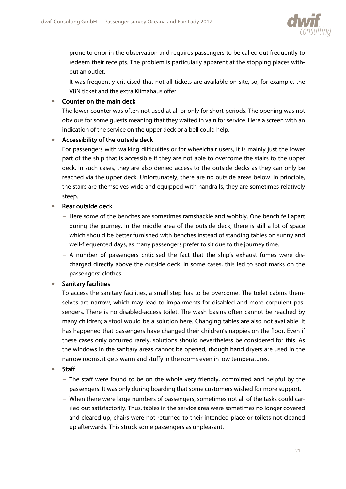![](_page_21_Picture_1.jpeg)

prone to error in the observation and requires passengers to be called out frequently to redeem their receipts. The problem is particularly apparent at the stopping places without an outlet.

− It was frequently criticised that not all tickets are available on site, so, for example, the VBN ticket and the extra Klimahaus offer.

#### • Counter on the main deck

The lower counter was often not used at all or only for short periods. The opening was not obvious for some guests meaning that they waited in vain for service. Here a screen with an indication of the service on the upper deck or a bell could help.

#### $\bullet$  Accessibility of the outside deck

For passengers with walking difficulties or for wheelchair users, it is mainly just the lower part of the ship that is accessible if they are not able to overcome the stairs to the upper deck. In such cases, they are also denied access to the outside decks as they can only be reached via the upper deck. Unfortunately, there are no outside areas below. In principle, the stairs are themselves wide and equipped with handrails, they are sometimes relatively steep.

#### • Rear outside deck

- − Here some of the benches are sometimes ramshackle and wobbly. One bench fell apart during the journey. In the middle area of the outside deck, there is still a lot of space which should be better furnished with benches instead of standing tables on sunny and well-frequented days, as many passengers prefer to sit due to the journey time.
- − A number of passengers criticised the fact that the ship's exhaust fumes were discharged directly above the outside deck. In some cases, this led to soot marks on the passengers' clothes.

#### • Sanitary facilities

To access the sanitary facilities, a small step has to be overcome. The toilet cabins themselves are narrow, which may lead to impairments for disabled and more corpulent passengers. There is no disabled-access toilet. The wash basins often cannot be reached by many children; a stool would be a solution here. Changing tables are also not available. It has happened that passengers have changed their children's nappies on the floor. Even if these cases only occurred rarely, solutions should nevertheless be considered for this. As the windows in the sanitary areas cannot be opened, though hand dryers are used in the narrow rooms, it gets warm and stuffy in the rooms even in low temperatures.

- Staff
	- − The staff were found to be on the whole very friendly, committed and helpful by the passengers. It was only during boarding that some customers wished for more support.
	- − When there were large numbers of passengers, sometimes not all of the tasks could carried out satisfactorily. Thus, tables in the service area were sometimes no longer covered and cleared up, chairs were not returned to their intended place or toilets not cleaned up afterwards. This struck some passengers as unpleasant.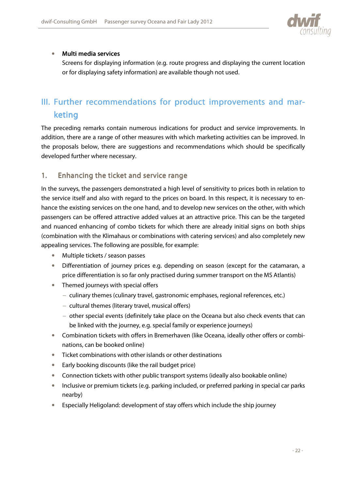![](_page_22_Picture_1.jpeg)

### $\bullet$  Multi media services

Screens for displaying information (e.g. route progress and displaying the current location or for displaying safety information) are available though not used.

# III. Further recommendations for product improvements and marketing

The preceding remarks contain numerous indications for product and service improvements. In addition, there are a range of other measures with which marketing activities can be improved. In the proposals below, there are suggestions and recommendations which should be specifically developed further where necessary.

# 1. Enhancing the ticket and service range

In the surveys, the passengers demonstrated a high level of sensitivity to prices both in relation to the service itself and also with regard to the prices on board. In this respect, it is necessary to enhance the existing services on the one hand, and to develop new services on the other, with which passengers can be offered attractive added values at an attractive price. This can be the targeted and nuanced enhancing of combo tickets for which there are already initial signs on both ships (combination with the Klimahaus or combinations with catering services) and also completely new appealing services. The following are possible, for example:

- Multiple tickets / season passes
- Differentiation of journey prices e.g. depending on season (except for the catamaran, a price differentiation is so far only practised during summer transport on the MS Atlantis)
- Themed journeys with special offers
	- − culinary themes (culinary travel, gastronomic emphases, regional references, etc.)
	- − cultural themes (literary travel, musical offers)
	- − other special events (definitely take place on the Oceana but also check events that can be linked with the journey, e.g. special family or experience journeys)
- Combination tickets with offers in Bremerhaven (like Oceana, ideally other offers or combinations, can be booked online)
- Ticket combinations with other islands or other destinations
- Early booking discounts (like the rail budget price)
- Connection tickets with other public transport systems (ideally also bookable online)
- Inclusive or premium tickets (e.g. parking included, or preferred parking in special car parks nearby)
- Especially Heligoland: development of stay offers which include the ship journey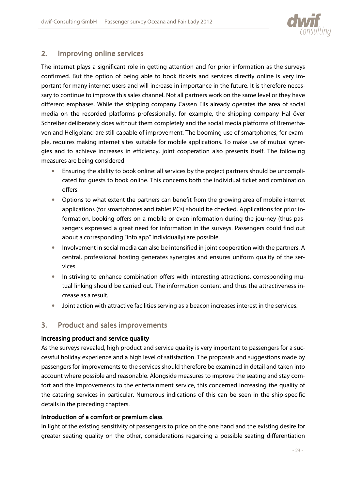![](_page_23_Picture_1.jpeg)

# 2. Improving online services

The internet plays a significant role in getting attention and for prior information as the surveys confirmed. But the option of being able to book tickets and services directly online is very important for many internet users and will increase in importance in the future. It is therefore necessary to continue to improve this sales channel. Not all partners work on the same level or they have different emphases. While the shipping company Cassen Eils already operates the area of social media on the recorded platforms professionally, for example, the shipping company Hal över Schreiber deliberately does without them completely and the social media platforms of Bremerhaven and Heligoland are still capable of improvement. The booming use of smartphones, for example, requires making internet sites suitable for mobile applications. To make use of mutual synergies and to achieve increases in efficiency, joint cooperation also presents itself. The following measures are being considered

- Ensuring the ability to book online: all services by the project partners should be uncomplicated for guests to book online. This concerns both the individual ticket and combination offers.
- Options to what extent the partners can benefit from the growing area of mobile internet applications (for smartphones and tablet PCs) should be checked. Applications for prior information, booking offers on a mobile or even information during the journey (thus passengers expressed a great need for information in the surveys. Passengers could find out about a corresponding "info app" individually) are possible.
- Involvement in social media can also be intensified in joint cooperation with the partners. A central, professional hosting generates synergies and ensures uniform quality of the services
- In striving to enhance combination offers with interesting attractions, corresponding mutual linking should be carried out. The information content and thus the attractiveness increase as a result.
- Joint action with attractive facilities serving as a beacon increases interest in the services.

# 3. Product and sales improvements

#### Increasing product and service quality

As the surveys revealed, high product and service quality is very important to passengers for a successful holiday experience and a high level of satisfaction. The proposals and suggestions made by passengers for improvements to the services should therefore be examined in detail and taken into account where possible and reasonable. Alongside measures to improve the seating and stay comfort and the improvements to the entertainment service, this concerned increasing the quality of the catering services in particular. Numerous indications of this can be seen in the ship-specific details in the preceding chapters.

#### Introduction of a comfort or premium class

In light of the existing sensitivity of passengers to price on the one hand and the existing desire for greater seating quality on the other, considerations regarding a possible seating differentiation